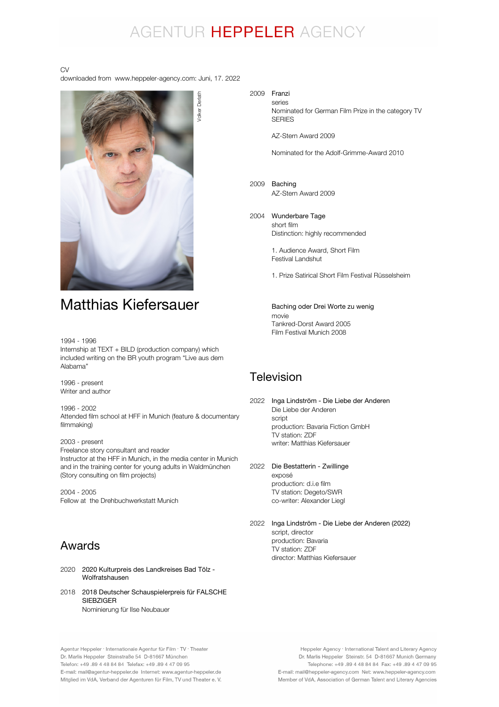# AGENTUR HEPPELER AGENCY

#### CV

downloaded from www.heppeler-agency.com: Juni, 17. 2022



1994 - 1996

Internship at  $TEXT + BILD$  (production company) which included writing on the BR youth program "Live aus dem Alabama"

1996 - present Writer and author

1996 - 2002 Attended film school at HFF in Munich (feature & documentary filmmaking)

2003 - present Freelance story consultant and reader Instructor at the HFF in Munich, in the media center in Munich and in the training center for young adults in Waldmünchen (Story consulting on film projects)

2004 - 2005 Fellow at the Drehbuchwerkstatt Munich

### Awards

- 2020 2020 Kulturpreis des Landkreises Bad Tölz Wolfratshausen
- 2018 2018 Deutscher Schauspielerpreis für FALSCHE Nominierung für Ilse Neubauer SIEBZIGER

#### 2009 Franzi series

Nominated for German Film Prize in the category TV **SERIES** 

AZ-Stern Award 2009

Nominated for the Adolf-Grimme-Award 2010

2009 Baching AZ-Stern Award 2009

#### 2004 Wunderbare Tage short film

Distinction: highly recommended

1. Audience Award, Short Film Festival Landshut

1. Prize Satirical Short Film Festival Rüsselsheim

movie Tankred-Dorst Award 2005 Film Festival Munich 2008 Baching oder Drei Worte zu wenig

### **Television**

- 2022 Die Liebe der Anderen script production: Bavaria Fiction GmbH TV station: ZDF writer: Matthias Kiefersauer Inga Lindström - Die Liebe der Anderen
- 2022 Die Bestatterin Zwillinge exposé production: d.i.e film TV station: Degeto/SWR co-writer: Alexander Liegl

2022 Inga Lindström - Die Liebe der Anderen (2022)script, director production: Bavaria TV station: ZDF director: Matthias Kiefersauer

Heppeler Agency · International Talent and Literary Agency Dr. Marlis Heppeler Steinstr. 54 D-81667 Munich Germany Telephone: +49 .89 4 48 84 84 Fax: +49 .89 4 47 09 95 E-mail: mail@heppeler-agency.com Net: www.heppeler-agency.com Member of VdA, Association of German Talent and Literary Agencies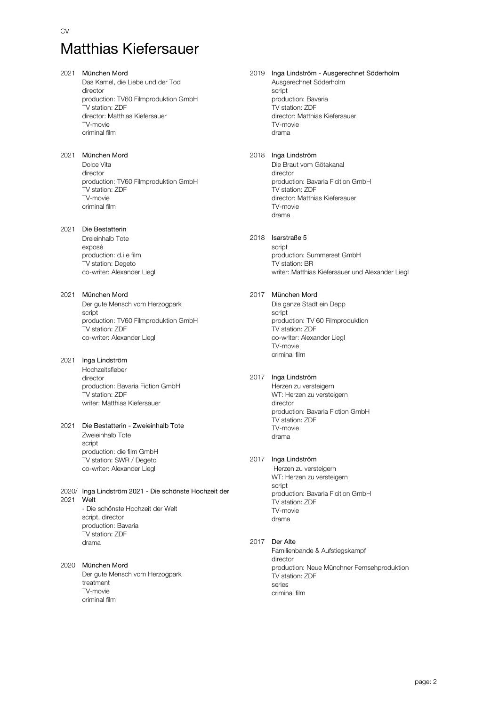### 2021 München Mord Das Kamel, die Liebe und der Tod director production: TV60 Filmproduktion GmbH TV station: ZDF director: Matthias Kiefersauer TV-movie criminal film 2021 München Mord Dolce Vita director production: TV60 Filmproduktion GmbH TV station: ZDF TV-movie criminal film 2021 Die Bestatterin Dreieinhalb Tote exposé production: d.i.e film TV station: Degeto co-writer: Alexander Liegl 2021 München Mord Der gute Mensch vom Herzogpark script production: TV60 Filmproduktion GmbH TV station: ZDF co-writer: Alexander Liegl 2021 Inga Lindström Hochzeitsfieber director production: Bavaria Fiction GmbH TV station: ZDF writer: Matthias Kiefersauer

#### 2021 Die Bestatterin - Zweieinhalb Tote Zweieinhalb Tote script production: die film GmbH TV station: SWR / Degeto co-writer: Alexander Liegl

- 2020/ Inga Lindström 2021 Die schönste Hochzeit der 2021 Welt - Die schönste Hochzeit der Welt script, director production: Bavaria TV station: ZDF drama
- 2020 München Mord Der gute Mensch vom Herzogpark treatment TV-movie criminal film

#### 2019 Inga Lindström - Ausgerechnet Söderholm Ausgerechnet Söderholm script production: Bavaria TV station: ZDF director: Matthias Kiefersauer TV-movie drama

#### 2018 Inga Lindström Die Braut vom Götakanal director production: Bavaria Ficition GmbH .<br>TV station: ZDF director: Matthias Kiefersauer TV-movie drama

#### 2018 Isarstraße 5

script production: Summerset GmbH TV station: BR writer: Matthias Kiefersauer und Alexander Liegl

#### 2017 München Mord

Die ganze Stadt ein Depp script production: TV 60 Filmproduktion TV station: ZDF co-writer: Alexander Liegl TV-movie criminal film

#### 2017 Inga Lindström

Herzen zu versteigern WT: Herzen zu versteigern director production: Bavaria Fiction GmbH .<br>TV station: ZDF TV-movie drama

#### 2017 Inga Lindström

 Herzen zu versteigern WT: Herzen zu versteigern script production: Bavaria Ficition GmbH TV station: ZDF TV-movie drama

#### 2017 Der Alte

Familienbande & Aufstiegskampf director production: Neue Münchner Fernsehproduktion TV station: ZDF series criminal film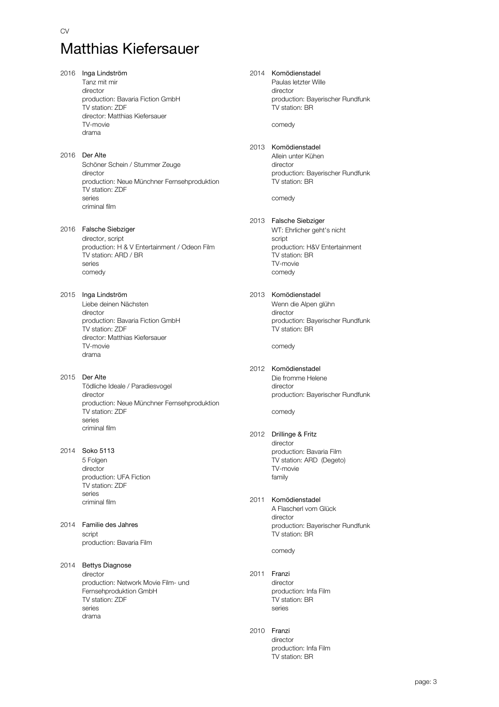2016 Inga Lindström Tanz mit mir director production: Bavaria Fiction GmbH TV station: ZDF director: Matthias Kiefersauer TV-movie drama 2016 Der Alte Schöner Schein / Stummer Zeuge director production: Neue Münchner Fernsehproduktion TV station: ZDF series criminal film 2016 Falsche Siebziger director, script production: H & V Entertainment / Odeon Film TV station: ARD / BR series comedy 2015 Inga Lindström Liebe deinen Nächsten director production: Bavaria Fiction GmbH TV station: ZDF director: Matthias Kiefersauer TV-movie drama 2015 Der Alte Tödliche Ideale / Paradiesvogel director production: Neue Münchner Fernsehproduktion TV station: ZDF series criminal film 2014 Soko 5113 5 Folgen director production: UFA Fiction TV station: ZDF series criminal film 2014 Familie des Jahres script production: Bavaria Film 2014 Bettys Diagnose director production: Network Movie Film- und Fernsehproduktion GmbH TV station: ZDF series drama

### 2014 Komödienstadel Paulas letzter Wille director production: Bayerischer Rundfunk TV station: BR comedy 2013 Komödienstadel Allein unter Kühen director production: Bayerischer Rundfunk TV station: BR comedy 2013 Falsche Siebziger WT: Ehrlicher geht's nicht script production: H&V Entertainment TV station: BR TV-movie comedy 2013 Komödienstadel Wenn die Alpen glühn director production: Bayerischer Rundfunk TV station: BR comedy

2012 Komödienstadel Die fromme Helene director production: Bayerischer Rundfunk

comedy

#### 2012 Drillinge & Fritz

director production: Bavaria Film TV station: ARD (Degeto) TV-movie family

#### 2011 Komödienstadel A Flascherl vom Glück director production: Bayerischer Rundfunk TV station: BR

comedy

2011 Franzi director production: Infa Film TV station: BR

series

2010 Franzi director production: Infa Film TV station: BR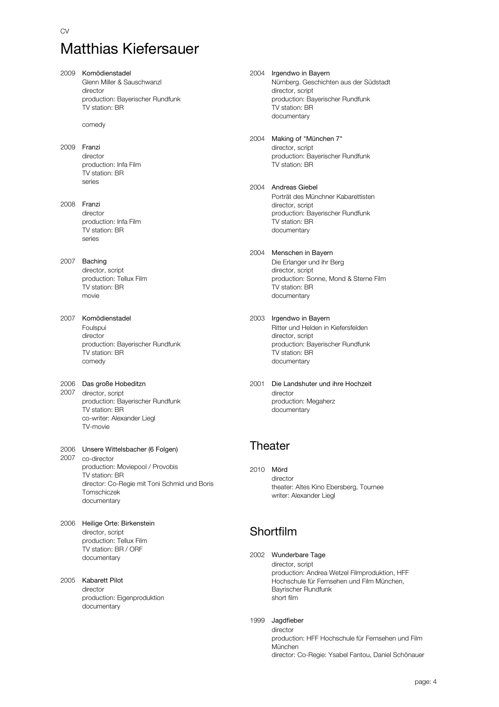- 2009 Komödienstadel Glenn Miller & Sauschwanzl director production: Bayerischer Rundfunk TV station: BR comedy
- 2009 Franzi director production: Infa Film TV station: BR series
- 2008 Franzi director production: Infa Film TV station: BR series
- 2007 Baching director, script production: Tellux Film TV station: BR movie
- 2007 Komödienstadel Foulspui director production: Bayerischer Rundfunk TV station: BR comedy

#### 2006 Das große Hobeditzn

2007 director, script production: Bayerischer Rundfunk TV station: BR co-writer: Alexander Liegl TV-movie

#### 2006 Unsere Wittelsbacher (6 Folgen) 2007 co-director production: Moviepool / Provobis TV station: BR

- director: Co-Regie mit Toni Schmid und Boris Tomschiczek documentary
- 2006 Heilige Orte: Birkenstein director, script production: Tellux Film TV station: BR / ORF documentary

#### 2005 Kabarett Pilot

director production: Eigenproduktion documentary

#### 2004 Irgendwo in Bayern Nürnberg. Geschichten aus der Südstadt director, script production: Bayerischer Rundfunk TV station: BR documentary

### 2004 Making of "München 7"

director, script production: Bayerischer Rundfunk TV station: BR

#### 2004 Andreas Giebel Porträt des Münchner Kabarettisten director, script production: Bayerischer Rundfunk TV station: BR documentary

### 2004 Menschen in Bayern

Die Erlanger und ihr Berg director, script production: Sonne, Mond & Sterne Film TV station: BR documentary

2003 Irgendwo in Bayern

Ritter und Helden in Kiefersfelden director, script production: Bayerischer Rundfunk TV station: BR documentary

2001 Die Landshuter und ihre Hochzeit director production: Megaherz documentary

## **Theater**

2010 Mörd director theater: Altes Kino Ebersberg, Tournee writer: Alexander Liegl

## Shortfilm

#### 2002 Wunderbare Tage

director, script production: Andrea Wetzel Filmproduktion, HFF Hochschule für Fernsehen und Film München, Bayrischer Rundfunk short film

#### 1999 Jagdfieber

director production: HFF Hochschule für Fernsehen und Film München director: Co-Regie: Ysabel Fantou, Daniel Schönauer